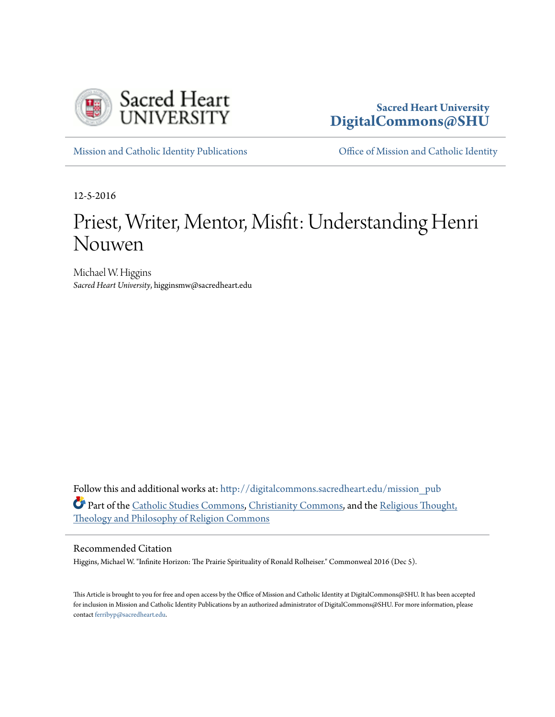

### **Sacred Heart University [DigitalCommons@SHU](http://digitalcommons.sacredheart.edu?utm_source=digitalcommons.sacredheart.edu%2Fmission_pub%2F47&utm_medium=PDF&utm_campaign=PDFCoverPages)**

[Mission and Catholic Identity Publications](http://digitalcommons.sacredheart.edu/mission_pub?utm_source=digitalcommons.sacredheart.edu%2Fmission_pub%2F47&utm_medium=PDF&utm_campaign=PDFCoverPages) [Office of Mission and Catholic Identity](http://digitalcommons.sacredheart.edu/mission?utm_source=digitalcommons.sacredheart.edu%2Fmission_pub%2F47&utm_medium=PDF&utm_campaign=PDFCoverPages)

12-5-2016

# Priest, Writer, Mentor, Misfit: Understanding Henri Nouwen

Michael W. Higgins *Sacred Heart University*, higginsmw@sacredheart.edu

Follow this and additional works at: [http://digitalcommons.sacredheart.edu/mission\\_pub](http://digitalcommons.sacredheart.edu/mission_pub?utm_source=digitalcommons.sacredheart.edu%2Fmission_pub%2F47&utm_medium=PDF&utm_campaign=PDFCoverPages) Part of the [Catholic Studies Commons,](http://network.bepress.com/hgg/discipline/1294?utm_source=digitalcommons.sacredheart.edu%2Fmission_pub%2F47&utm_medium=PDF&utm_campaign=PDFCoverPages) [Christianity Commons](http://network.bepress.com/hgg/discipline/1181?utm_source=digitalcommons.sacredheart.edu%2Fmission_pub%2F47&utm_medium=PDF&utm_campaign=PDFCoverPages), and the [Religious Thought,](http://network.bepress.com/hgg/discipline/544?utm_source=digitalcommons.sacredheart.edu%2Fmission_pub%2F47&utm_medium=PDF&utm_campaign=PDFCoverPages) [Theology and Philosophy of Religion Commons](http://network.bepress.com/hgg/discipline/544?utm_source=digitalcommons.sacredheart.edu%2Fmission_pub%2F47&utm_medium=PDF&utm_campaign=PDFCoverPages)

#### Recommended Citation

Higgins, Michael W. "Infinite Horizon: The Prairie Spirituality of Ronald Rolheiser." Commonweal 2016 (Dec 5).

This Article is brought to you for free and open access by the Office of Mission and Catholic Identity at DigitalCommons@SHU. It has been accepted for inclusion in Mission and Catholic Identity Publications by an authorized administrator of DigitalCommons@SHU. For more information, please contact [ferribyp@sacredheart.edu.](mailto:ferribyp@sacredheart.edu)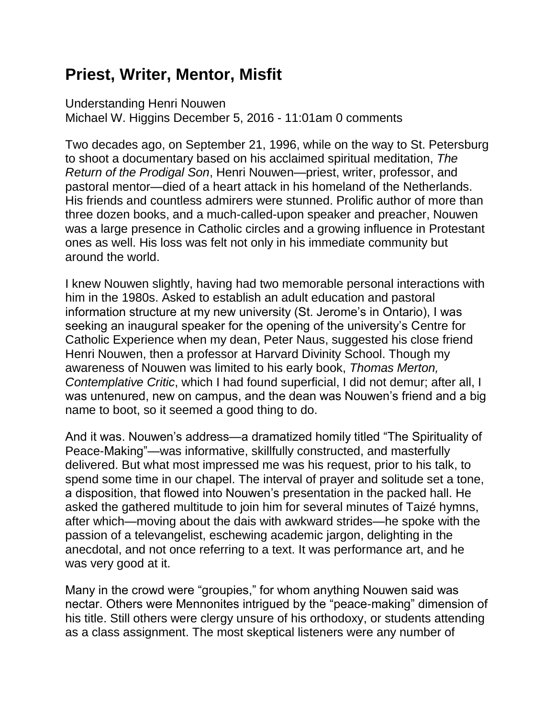## **Priest, Writer, Mentor, Misfit**

Understanding Henri Nouwen Michael W. Higgins December 5, 2016 - 11:01am 0 comments

Two decades ago, on September 21, 1996, while on the way to St. Petersburg to shoot a documentary based on his acclaimed spiritual meditation, *The Return of the Prodigal Son*, Henri Nouwen—priest, writer, professor, and pastoral mentor—died of a heart attack in his homeland of the Netherlands. His friends and countless admirers were stunned. Prolific author of more than three dozen books, and a much-called-upon speaker and preacher, Nouwen was a large presence in Catholic circles and a growing influence in Protestant ones as well. His loss was felt not only in his immediate community but around the world.

I knew Nouwen slightly, having had two memorable personal interactions with him in the 1980s. Asked to establish an adult education and pastoral information structure at my new university (St. Jerome's in Ontario), I was seeking an inaugural speaker for the opening of the university's Centre for Catholic Experience when my dean, Peter Naus, suggested his close friend Henri Nouwen, then a professor at Harvard Divinity School. Though my awareness of Nouwen was limited to his early book, *Thomas Merton, Contemplative Critic*, which I had found superficial, I did not demur; after all, I was untenured, new on campus, and the dean was Nouwen's friend and a big name to boot, so it seemed a good thing to do.

And it was. Nouwen's address—a dramatized homily titled "The Spirituality of Peace-Making"—was informative, skillfully constructed, and masterfully delivered. But what most impressed me was his request, prior to his talk, to spend some time in our chapel. The interval of prayer and solitude set a tone, a disposition, that flowed into Nouwen's presentation in the packed hall. He asked the gathered multitude to join him for several minutes of Taizé hymns, after which—moving about the dais with awkward strides—he spoke with the passion of a televangelist, eschewing academic jargon, delighting in the anecdotal, and not once referring to a text. It was performance art, and he was very good at it.

Many in the crowd were "groupies," for whom anything Nouwen said was nectar. Others were Mennonites intrigued by the "peace-making" dimension of his title. Still others were clergy unsure of his orthodoxy, or students attending as a class assignment. The most skeptical listeners were any number of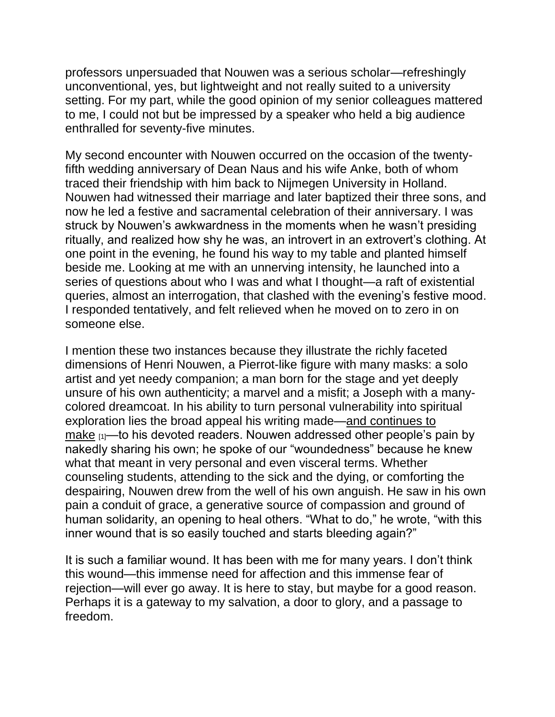professors unpersuaded that Nouwen was a serious scholar—refreshingly unconventional, yes, but lightweight and not really suited to a university setting. For my part, while the good opinion of my senior colleagues mattered to me, I could not but be impressed by a speaker who held a big audience enthralled for seventy-five minutes.

My second encounter with Nouwen occurred on the occasion of the twentyfifth wedding anniversary of Dean Naus and his wife Anke, both of whom traced their friendship with him back to Nijmegen University in Holland. Nouwen had witnessed their marriage and later baptized their three sons, and now he led a festive and sacramental celebration of their anniversary. I was struck by Nouwen's awkwardness in the moments when he wasn't presiding ritually, and realized how shy he was, an introvert in an extrovert's clothing. At one point in the evening, he found his way to my table and planted himself beside me. Looking at me with an unnerving intensity, he launched into a series of questions about who I was and what I thought—a raft of existential queries, almost an interrogation, that clashed with the evening's festive mood. I responded tentatively, and felt relieved when he moved on to zero in on someone else.

I mention these two instances because they illustrate the richly faceted dimensions of Henri Nouwen, a Pierrot-like figure with many masks: a solo artist and yet needy companion; a man born for the stage and yet deeply unsure of his own authenticity; a marvel and a misfit; a Joseph with a manycolored dreamcoat. In his ability to turn personal vulnerability into spiritual exploration lies the broad appeal his writing made[—and continues to](https://www.youtube.com/watch?v=YOyEw-EaaLU)  [make](https://www.youtube.com/watch?v=YOyEw-EaaLU)  $[1]$ —to his devoted readers. Nouwen addressed other people's pain by nakedly sharing his own; he spoke of our "woundedness" because he knew what that meant in very personal and even visceral terms. Whether counseling students, attending to the sick and the dying, or comforting the despairing, Nouwen drew from the well of his own anguish. He saw in his own pain a conduit of grace, a generative source of compassion and ground of human solidarity, an opening to heal others. "What to do," he wrote, "with this inner wound that is so easily touched and starts bleeding again?"

It is such a familiar wound. It has been with me for many years. I don't think this wound—this immense need for affection and this immense fear of rejection—will ever go away. It is here to stay, but maybe for a good reason. Perhaps it is a gateway to my salvation, a door to glory, and a passage to freedom.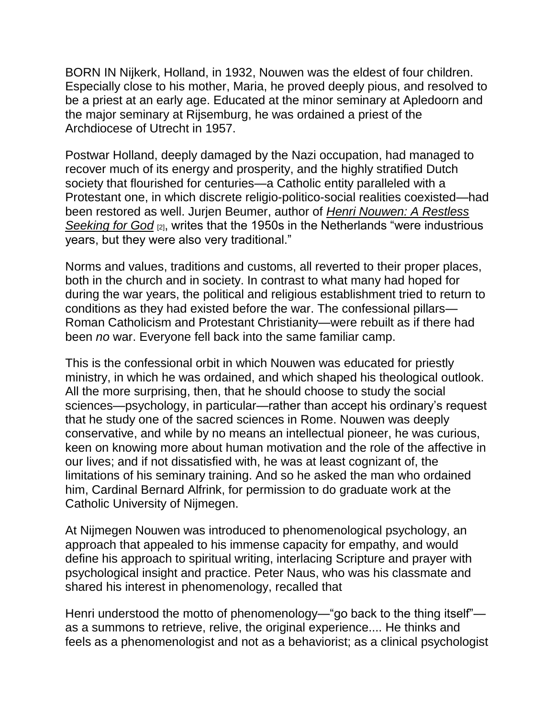BORN IN Nijkerk, Holland, in 1932, Nouwen was the eldest of four children. Especially close to his mother, Maria, he proved deeply pious, and resolved to be a priest at an early age. Educated at the minor seminary at Apledoorn and the major seminary at Rijsemburg, he was ordained a priest of the Archdiocese of Utrecht in 1957.

Postwar Holland, deeply damaged by the Nazi occupation, had managed to recover much of its energy and prosperity, and the highly stratified Dutch society that flourished for centuries—a Catholic entity paralleled with a Protestant one, in which discrete religio-politico-social realities coexisted—had been restored as well. Jurjen Beumer, author of *[Henri Nouwen: A Restless](https://www.amazon.com/Henri-Nouwen-Restless-Seeking-God/dp/0824517687)  [Seeking](https://www.amazon.com/Henri-Nouwen-Restless-Seeking-God/dp/0824517687) for God* [2], writes that the 1950s in the Netherlands "were industrious years, but they were also very traditional."

Norms and values, traditions and customs, all reverted to their proper places, both in the church and in society. In contrast to what many had hoped for during the war years, the political and religious establishment tried to return to conditions as they had existed before the war. The confessional pillars— Roman Catholicism and Protestant Christianity—were rebuilt as if there had been *no* war. Everyone fell back into the same familiar camp.

This is the confessional orbit in which Nouwen was educated for priestly ministry, in which he was ordained, and which shaped his theological outlook. All the more surprising, then, that he should choose to study the social sciences—psychology, in particular—rather than accept his ordinary's request that he study one of the sacred sciences in Rome. Nouwen was deeply conservative, and while by no means an intellectual pioneer, he was curious, keen on knowing more about human motivation and the role of the affective in our lives; and if not dissatisfied with, he was at least cognizant of, the limitations of his seminary training. And so he asked the man who ordained him, Cardinal Bernard Alfrink, for permission to do graduate work at the Catholic University of Nijmegen.

At Nijmegen Nouwen was introduced to phenomenological psychology, an approach that appealed to his immense capacity for empathy, and would define his approach to spiritual writing, interlacing Scripture and prayer with psychological insight and practice. Peter Naus, who was his classmate and shared his interest in phenomenology, recalled that

Henri understood the motto of phenomenology—"go back to the thing itself" as a summons to retrieve, relive, the original experience.... He thinks and feels as a phenomenologist and not as a behaviorist; as a clinical psychologist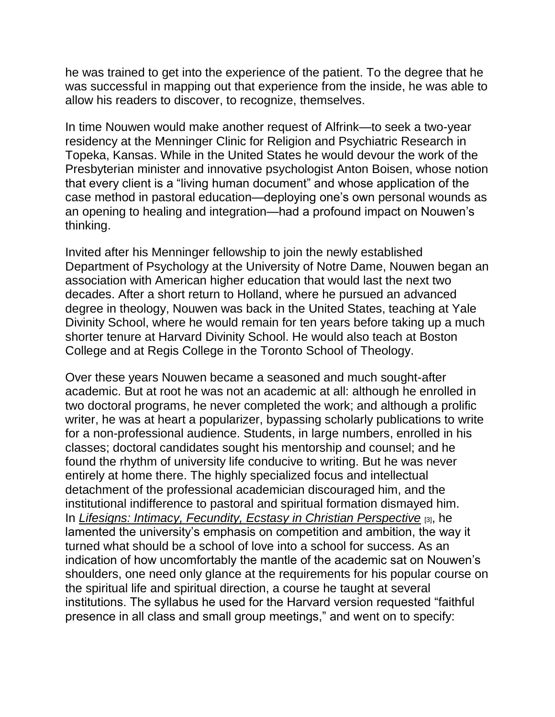he was trained to get into the experience of the patient. To the degree that he was successful in mapping out that experience from the inside, he was able to allow his readers to discover, to recognize, themselves.

In time Nouwen would make another request of Alfrink—to seek a two-year residency at the Menninger Clinic for Religion and Psychiatric Research in Topeka, Kansas. While in the United States he would devour the work of the Presbyterian minister and innovative psychologist Anton Boisen, whose notion that every client is a "living human document" and whose application of the case method in pastoral education—deploying one's own personal wounds as an opening to healing and integration—had a profound impact on Nouwen's thinking.

Invited after his Menninger fellowship to join the newly established Department of Psychology at the University of Notre Dame, Nouwen began an association with American higher education that would last the next two decades. After a short return to Holland, where he pursued an advanced degree in theology, Nouwen was back in the United States, teaching at Yale Divinity School, where he would remain for ten years before taking up a much shorter tenure at Harvard Divinity School. He would also teach at Boston College and at Regis College in the Toronto School of Theology.

Over these years Nouwen became a seasoned and much sought-after academic. But at root he was not an academic at all: although he enrolled in two doctoral programs, he never completed the work; and although a prolific writer, he was at heart a popularizer, bypassing scholarly publications to write for a non-professional audience. Students, in large numbers, enrolled in his classes; doctoral candidates sought his mentorship and counsel; and he found the rhythm of university life conducive to writing. But he was never entirely at home there. The highly specialized focus and intellectual detachment of the professional academician discouraged him, and the institutional indifference to pastoral and spiritual formation dismayed him. In *[Lifesigns: Intimacy, Fecundity, Ecstasy in Christian Perspective](https://www.amazon.com/Lifesigns-Intimacy-Fecundity-Christian-Perspective/dp/038523628X)* [3], he lamented the university's emphasis on competition and ambition, the way it turned what should be a school of love into a school for success. As an indication of how uncomfortably the mantle of the academic sat on Nouwen's shoulders, one need only glance at the requirements for his popular course on the spiritual life and spiritual direction, a course he taught at several institutions. The syllabus he used for the Harvard version requested "faithful presence in all class and small group meetings," and went on to specify: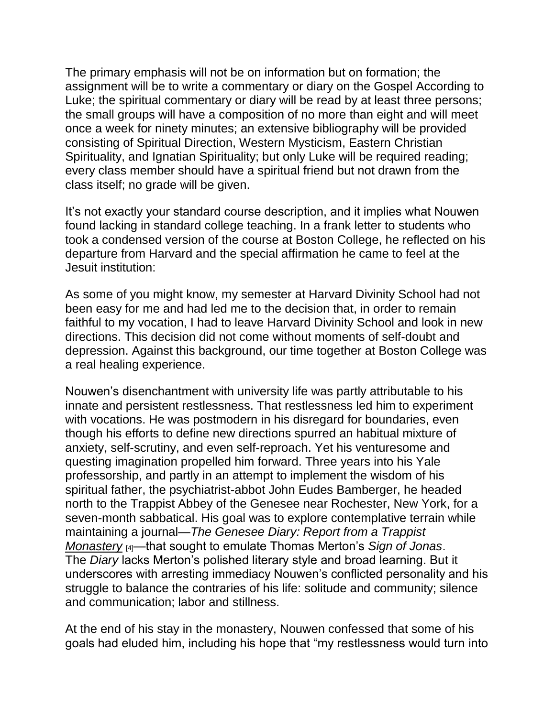The primary emphasis will not be on information but on formation; the assignment will be to write a commentary or diary on the Gospel According to Luke; the spiritual commentary or diary will be read by at least three persons; the small groups will have a composition of no more than eight and will meet once a week for ninety minutes; an extensive bibliography will be provided consisting of Spiritual Direction, Western Mysticism, Eastern Christian Spirituality, and Ignatian Spirituality; but only Luke will be required reading; every class member should have a spiritual friend but not drawn from the class itself; no grade will be given.

It's not exactly your standard course description, and it implies what Nouwen found lacking in standard college teaching. In a frank letter to students who took a condensed version of the course at Boston College, he reflected on his departure from Harvard and the special affirmation he came to feel at the Jesuit institution:

As some of you might know, my semester at Harvard Divinity School had not been easy for me and had led me to the decision that, in order to remain faithful to my vocation, I had to leave Harvard Divinity School and look in new directions. This decision did not come without moments of self-doubt and depression. Against this background, our time together at Boston College was a real healing experience.

Nouwen's disenchantment with university life was partly attributable to his innate and persistent restlessness. That restlessness led him to experiment with vocations. He was postmodern in his disregard for boundaries, even though his efforts to define new directions spurred an habitual mixture of anxiety, self-scrutiny, and even self-reproach. Yet his venturesome and questing imagination propelled him forward. Three years into his Yale professorship, and partly in an attempt to implement the wisdom of his spiritual father, the psychiatrist-abbot John Eudes Bamberger, he headed north to the Trappist Abbey of the Genesee near Rochester, New York, for a seven-month sabbatical. His goal was to explore contemplative terrain while maintaining a journal—*[The Genesee Diary: Report from a Trappist](https://www.amazon.com/Genesee-Diary-Report-Trappist-Monastery/dp/0385174462)  [Monastery](https://www.amazon.com/Genesee-Diary-Report-Trappist-Monastery/dp/0385174462)* [4]—that sought to emulate Thomas Merton's *Sign of Jonas*. The *Diary* lacks Merton's polished literary style and broad learning. But it underscores with arresting immediacy Nouwen's conflicted personality and his struggle to balance the contraries of his life: solitude and community; silence and communication; labor and stillness.

At the end of his stay in the monastery, Nouwen confessed that some of his goals had eluded him, including his hope that "my restlessness would turn into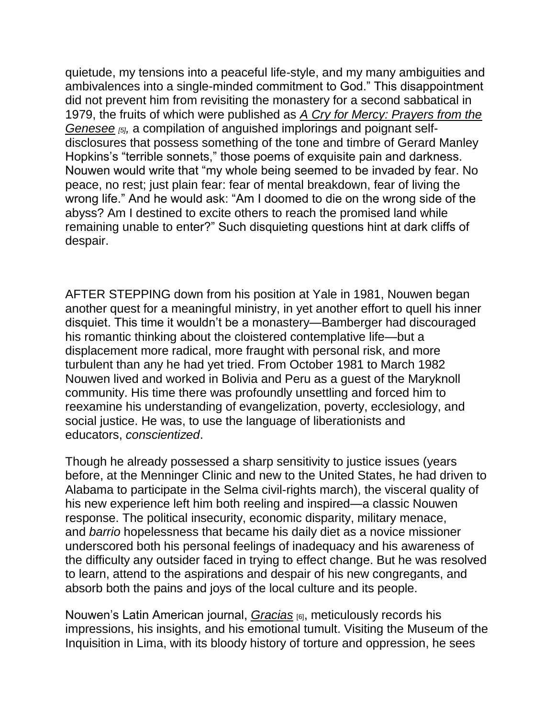quietude, my tensions into a peaceful life-style, and my many ambiguities and ambivalences into a single-minded commitment to God." This disappointment did not prevent him from revisiting the monastery for a second sabbatical in 1979, the fruits of which were published as *[A Cry for Mercy: Prayers from the](https://www.amazon.com/Cry-Mercy-Prayers-Genesee/dp/038550389X)  [Genesee](https://www.amazon.com/Cry-Mercy-Prayers-Genesee/dp/038550389X) [5],* a compilation of anguished implorings and poignant selfdisclosures that possess something of the tone and timbre of Gerard Manley Hopkins's "terrible sonnets," those poems of exquisite pain and darkness. Nouwen would write that "my whole being seemed to be invaded by fear. No peace, no rest; just plain fear: fear of mental breakdown, fear of living the wrong life." And he would ask: "Am I doomed to die on the wrong side of the abyss? Am I destined to excite others to reach the promised land while remaining unable to enter?" Such disquieting questions hint at dark cliffs of despair.

AFTER STEPPING down from his position at Yale in 1981, Nouwen began another quest for a meaningful ministry, in yet another effort to quell his inner disquiet. This time it wouldn't be a monastery—Bamberger had discouraged his romantic thinking about the cloistered contemplative life—but a displacement more radical, more fraught with personal risk, and more turbulent than any he had yet tried. From October 1981 to March 1982 Nouwen lived and worked in Bolivia and Peru as a guest of the Maryknoll community. His time there was profoundly unsettling and forced him to reexamine his understanding of evangelization, poverty, ecclesiology, and social justice. He was, to use the language of liberationists and educators, *conscientized*.

Though he already possessed a sharp sensitivity to justice issues (years before, at the Menninger Clinic and new to the United States, he had driven to Alabama to participate in the Selma civil-rights march), the visceral quality of his new experience left him both reeling and inspired—a classic Nouwen response. The political insecurity, economic disparity, military menace, and *barrio* hopelessness that became his daily diet as a novice missioner underscored both his personal feelings of inadequacy and his awareness of the difficulty any outsider faced in trying to effect change. But he was resolved to learn, attend to the aspirations and despair of his new congregants, and absorb both the pains and joys of the local culture and its people.

Nouwen's Latin American journal, *[Gracias](https://www.amazon.com/Gracias-American-Henri-J-Nouwen/dp/0883448513/ref=pd_sim_14_40?_encoding=UTF8&pd_rd_i=0883448513&pd_rd_r=9DFF8M6Y261TK5FSX51J&pd_rd_w=eihAG&pd_rd_wg=Izv5J&psc=1&refRID=9DFF8M6Y261TK5FSX51J)* [6], meticulously records his impressions, his insights, and his emotional tumult. Visiting the Museum of the Inquisition in Lima, with its bloody history of torture and oppression, he sees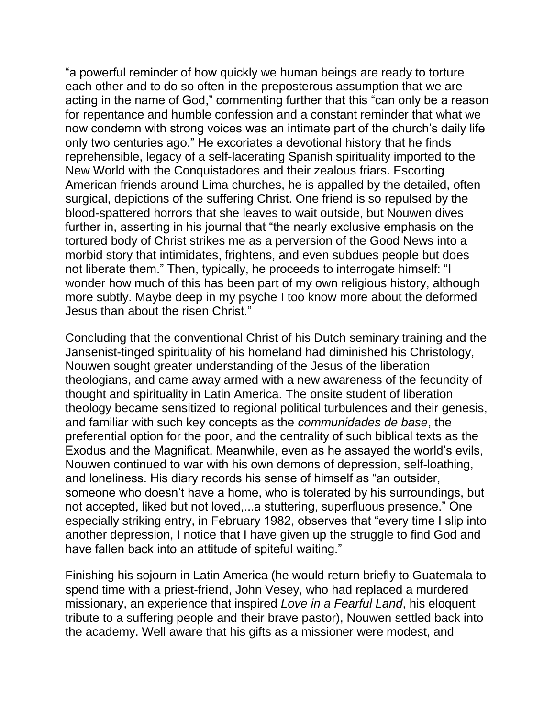"a powerful reminder of how quickly we human beings are ready to torture each other and to do so often in the preposterous assumption that we are acting in the name of God," commenting further that this "can only be a reason for repentance and humble confession and a constant reminder that what we now condemn with strong voices was an intimate part of the church's daily life only two centuries ago." He excoriates a devotional history that he finds reprehensible, legacy of a self-lacerating Spanish spirituality imported to the New World with the Conquistadores and their zealous friars. Escorting American friends around Lima churches, he is appalled by the detailed, often surgical, depictions of the suffering Christ. One friend is so repulsed by the blood-spattered horrors that she leaves to wait outside, but Nouwen dives further in, asserting in his journal that "the nearly exclusive emphasis on the tortured body of Christ strikes me as a perversion of the Good News into a morbid story that intimidates, frightens, and even subdues people but does not liberate them." Then, typically, he proceeds to interrogate himself: "I wonder how much of this has been part of my own religious history, although more subtly. Maybe deep in my psyche I too know more about the deformed Jesus than about the risen Christ."

Concluding that the conventional Christ of his Dutch seminary training and the Jansenist-tinged spirituality of his homeland had diminished his Christology, Nouwen sought greater understanding of the Jesus of the liberation theologians, and came away armed with a new awareness of the fecundity of thought and spirituality in Latin America. The onsite student of liberation theology became sensitized to regional political turbulences and their genesis, and familiar with such key concepts as the *communidades de base*, the preferential option for the poor, and the centrality of such biblical texts as the Exodus and the Magnificat. Meanwhile, even as he assayed the world's evils, Nouwen continued to war with his own demons of depression, self-loathing, and loneliness. His diary records his sense of himself as "an outsider, someone who doesn't have a home, who is tolerated by his surroundings, but not accepted, liked but not loved,...a stuttering, superfluous presence." One especially striking entry, in February 1982, observes that "every time I slip into another depression, I notice that I have given up the struggle to find God and have fallen back into an attitude of spiteful waiting."

Finishing his sojourn in Latin America (he would return briefly to Guatemala to spend time with a priest-friend, John Vesey, who had replaced a murdered missionary, an experience that inspired *Love in a Fearful Land*, his eloquent tribute to a suffering people and their brave pastor), Nouwen settled back into the academy. Well aware that his gifts as a missioner were modest, and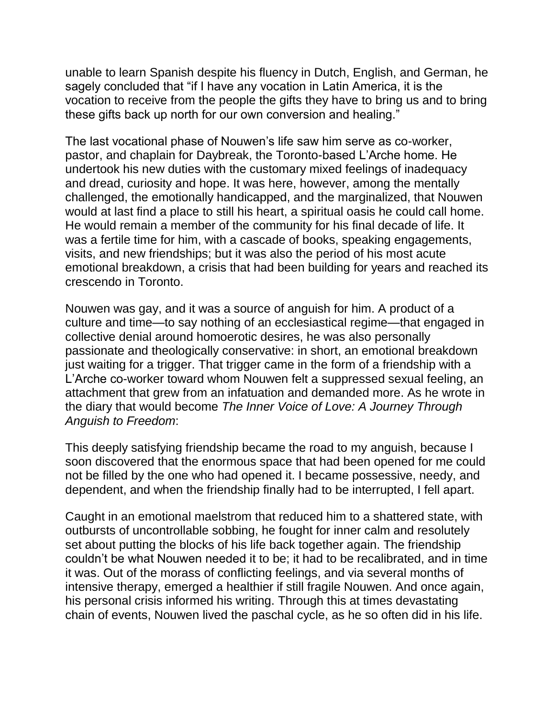unable to learn Spanish despite his fluency in Dutch, English, and German, he sagely concluded that "if I have any vocation in Latin America, it is the vocation to receive from the people the gifts they have to bring us and to bring these gifts back up north for our own conversion and healing."

The last vocational phase of Nouwen's life saw him serve as co-worker, pastor, and chaplain for Daybreak, the Toronto-based L'Arche home. He undertook his new duties with the customary mixed feelings of inadequacy and dread, curiosity and hope. It was here, however, among the mentally challenged, the emotionally handicapped, and the marginalized, that Nouwen would at last find a place to still his heart, a spiritual oasis he could call home. He would remain a member of the community for his final decade of life. It was a fertile time for him, with a cascade of books, speaking engagements, visits, and new friendships; but it was also the period of his most acute emotional breakdown, a crisis that had been building for years and reached its crescendo in Toronto.

Nouwen was gay, and it was a source of anguish for him. A product of a culture and time—to say nothing of an ecclesiastical regime—that engaged in collective denial around homoerotic desires, he was also personally passionate and theologically conservative: in short, an emotional breakdown just waiting for a trigger. That trigger came in the form of a friendship with a L'Arche co-worker toward whom Nouwen felt a suppressed sexual feeling, an attachment that grew from an infatuation and demanded more. As he wrote in the diary that would become *The Inner Voice of Love: A Journey Through Anguish to Freedom*:

This deeply satisfying friendship became the road to my anguish, because I soon discovered that the enormous space that had been opened for me could not be filled by the one who had opened it. I became possessive, needy, and dependent, and when the friendship finally had to be interrupted, I fell apart.

Caught in an emotional maelstrom that reduced him to a shattered state, with outbursts of uncontrollable sobbing, he fought for inner calm and resolutely set about putting the blocks of his life back together again. The friendship couldn't be what Nouwen needed it to be; it had to be recalibrated, and in time it was. Out of the morass of conflicting feelings, and via several months of intensive therapy, emerged a healthier if still fragile Nouwen. And once again, his personal crisis informed his writing. Through this at times devastating chain of events, Nouwen lived the paschal cycle, as he so often did in his life.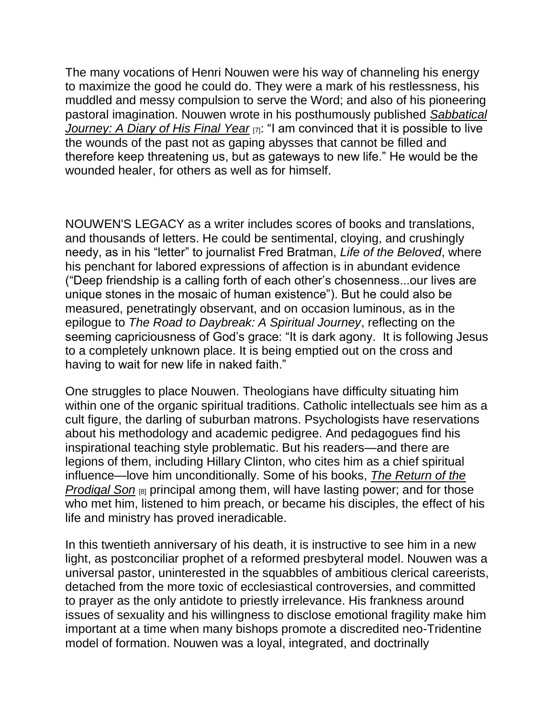The many vocations of Henri Nouwen were his way of channeling his energy to maximize the good he could do. They were a mark of his restlessness, his muddled and messy compulsion to serve the Word; and also of his pioneering pastoral imagination. Nouwen wrote in his posthumously published *[Sabbatical](https://www.amazon.com/Sabbatical-Journey-Diary-Final-Year/dp/0824518780)  [Journey: A Diary of His Final Year](https://www.amazon.com/Sabbatical-Journey-Diary-Final-Year/dp/0824518780)* [7]: "I am convinced that it is possible to live the wounds of the past not as gaping abysses that cannot be filled and therefore keep threatening us, but as gateways to new life." He would be the wounded healer, for others as well as for himself.

NOUWEN'S LEGACY as a writer includes scores of books and translations, and thousands of letters. He could be sentimental, cloying, and crushingly needy, as in his "letter" to journalist Fred Bratman, *Life of the Beloved*, where his penchant for labored expressions of affection is in abundant evidence ("Deep friendship is a calling forth of each other's chosenness...our lives are unique stones in the mosaic of human existence"). But he could also be measured, penetratingly observant, and on occasion luminous, as in the epilogue to *The Road to Daybreak: A Spiritual Journey*, reflecting on the seeming capriciousness of God's grace: "It is dark agony. It is following Jesus to a completely unknown place. It is being emptied out on the cross and having to wait for new life in naked faith."

One struggles to place Nouwen. Theologians have difficulty situating him within one of the organic spiritual traditions. Catholic intellectuals see him as a cult figure, the darling of suburban matrons. Psychologists have reservations about his methodology and academic pedigree. And pedagogues find his inspirational teaching style problematic. But his readers—and there are legions of them, including Hillary Clinton, who cites him as a chief spiritual influence—love him unconditionally. Some of his books, *[The Return of the](https://www.amazon.com/Return-Prodigal-Son-Story-Homecoming/dp/0385473079)  [Prodigal Son](https://www.amazon.com/Return-Prodigal-Son-Story-Homecoming/dp/0385473079)*  $[8]$  principal among them, will have lasting power; and for those who met him, listened to him preach, or became his disciples, the effect of his life and ministry has proved ineradicable.

In this twentieth anniversary of his death, it is instructive to see him in a new light, as postconciliar prophet of a reformed presbyteral model. Nouwen was a universal pastor, uninterested in the squabbles of ambitious clerical careerists, detached from the more toxic of ecclesiastical controversies, and committed to prayer as the only antidote to priestly irrelevance. His frankness around issues of sexuality and his willingness to disclose emotional fragility make him important at a time when many bishops promote a discredited neo-Tridentine model of formation. Nouwen was a loyal, integrated, and doctrinally